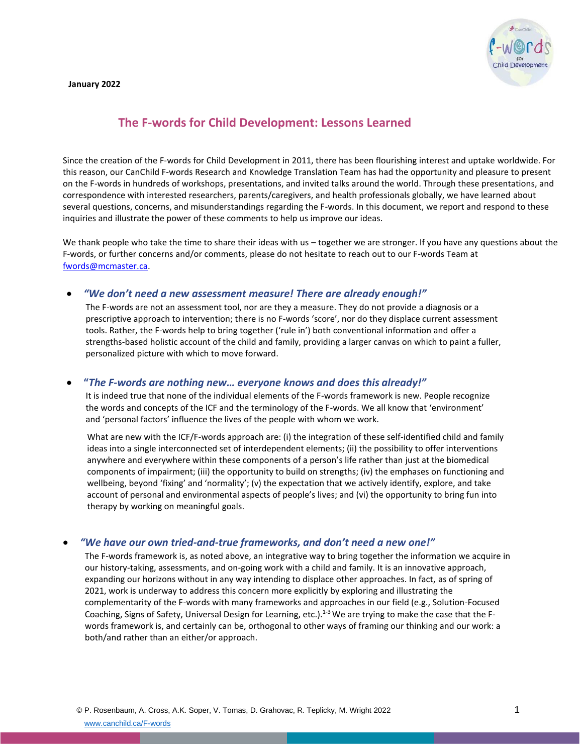#### **January 2022**



# **The F-words for Child Development: Lessons Learned**

Since the creation of the F-words for Child Development in 2011, there has been flourishing interest and uptake worldwide. For this reason, our CanChild F-words Research and Knowledge Translation Team has had the opportunity and pleasure to present on the F-words in hundreds of workshops, presentations, and invited talks around the world. Through these presentations, and correspondence with interested researchers, parents/caregivers, and health professionals globally, we have learned about several questions, concerns, and misunderstandings regarding the F-words. In this document, we report and respond to these inquiries and illustrate the power of these comments to help us improve our ideas.

We thank people who take the time to share their ideas with us – together we are stronger. If you have any questions about the F-words, or further concerns and/or comments, please do not hesitate to reach out to our F-words Team at [fwords@mcmaster.ca.](mailto:fwords@mcmaster.ca)

### • *"We don't need a new assessment measure! There are already enough!"*

The F-words are not an assessment tool, nor are they a measure. They do not provide a diagnosis or a prescriptive approach to intervention; there is no F-words 'score', nor do they displace current assessment tools. Rather, the F-words help to bring together ('rule in') both conventional information and offer a strengths-based holistic account of the child and family, providing a larger canvas on which to paint a fuller, personalized picture with which to move forward.

### • **"***The F-words are nothing new… everyone knows and does this already!"*

It is indeed true that none of the individual elements of the F-words framework is new. People recognize the words and concepts of the ICF and the terminology of the F-words. We all know that 'environment' and 'personal factors' influence the lives of the people with whom we work.

What are new with the ICF/F-words approach are: (i) the integration of these self-identified child and family ideas into a single interconnected set of interdependent elements; (ii) the possibility to offer interventions anywhere and everywhere within these components of a person's life rather than just at the biomedical components of impairment; (iii) the opportunity to build on strengths; (iv) the emphases on functioning and wellbeing, beyond 'fixing' and 'normality'; (v) the expectation that we actively identify, explore, and take account of personal and environmental aspects of people's lives; and (vi) the opportunity to bring fun into therapy by working on meaningful goals.

### • *"We have our own tried-and-true frameworks, and don't need a new one!"*

The F-words framework is, as noted above, an integrative way to bring together the information we acquire in our history-taking, assessments, and on-going work with a child and family. It is an innovative approach, expanding our horizons without in any way intending to displace other approaches. In fact, as of spring of 2021, work is underway to address this concern more explicitly by exploring and illustrating the complementarity of the F-words with many frameworks and approaches in our field (e.g., Solution-Focused Coaching, Signs of Safety, Universal Design for Learning, etc.).<sup>1-3</sup> We are trying to make the case that the Fwords framework is, and certainly can be, orthogonal to other ways of framing our thinking and our work: a both/and rather than an either/or approach.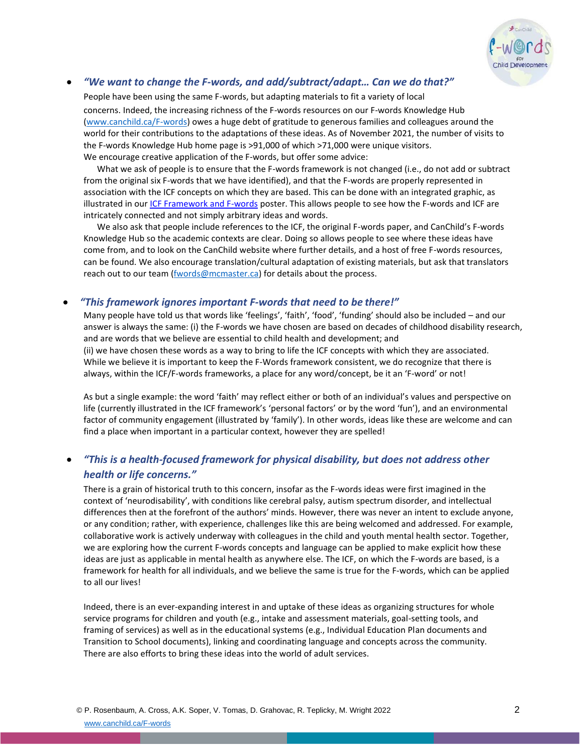

## • *"We want to change the F-words, and add/subtract/adapt… Can we do that?"*

People have been using the same F-words, but adapting materials to fit a variety of local concerns. Indeed, the increasing richness of the F-words resources on our F-words Knowledge Hub [\(www.canchild.ca/F-words\)](http://www.canchild.ca/f-words) owes a huge debt of gratitude to generous families and colleagues around the world for their contributions to the adaptations of these ideas. As of November 2021, the number of visits to the F-words Knowledge Hub home page is >91,000 of which >71,000 were unique visitors. We encourage creative application of the F-words, but offer some advice:

What we ask of people is to ensure that the F-words framework is not changed (i.e., do not add or subtract from the original six F-words that we have identified), and that the F-words are properly represented in association with the ICF concepts on which they are based. This can be done with an integrated graphic, as illustrated in our *ICF Framework and F-words* poster. This allows people to see how the F-words and ICF are intricately connected and not simply arbitrary ideas and words.

We also ask that people include references to the ICF, the original F-words paper, and CanChild's F-words Knowledge Hub so the academic contexts are clear. Doing so allows people to see where these ideas have come from, and to look on the CanChild website where further details, and a host of free F-words resources, can be found. We also encourage translation/cultural adaptation of existing materials, but ask that translators reach out to our tea[m \(fwords@mcmaster.ca\) f](mailto:fwords@mcmaster.ca)or details about the process.

### • *"This framework ignores important F-words that need to be there!"*

Many people have told us that words like 'feelings', 'faith', 'food', 'funding' should also be included – and our answer is always the same: (i) the F-words we have chosen are based on decades of childhood disability research, and are words that we believe are essential to child health and development; and (ii) we have chosen these words as a way to bring to life the ICF concepts with which they are associated. While we believe it is important to keep the F-Words framework consistent, we do recognize that there is always, within the ICF/F-words frameworks, a place for any word/concept, be it an 'F-word' or not!

As but a single example: the word 'faith' may reflect either or both of an individual's values and perspective on life (currently illustrated in the ICF framework's 'personal factors' or by the word 'fun'), and an environmental factor of community engagement (illustrated by 'family'). In other words, ideas like these are welcome and can find a place when important in a particular context, however they are spelled!

# • *"This is a health-focused framework for physical disability, but does not address other health or life concerns."*

There is a grain of historical truth to this concern, insofar as the F-words ideas were first imagined in the context of 'neurodisability', with conditions like cerebral palsy, autism spectrum disorder, and intellectual differences then at the forefront of the authors' minds. However, there was never an intent to exclude anyone, or any condition; rather, with experience, challenges like this are being welcomed and addressed. For example, collaborative work is actively underway with colleagues in the child and youth mental health sector. Together, we are exploring how the current F-words concepts and language can be applied to make explicit how these ideas are just as applicable in mental health as anywhere else. The ICF, on which the F-words are based, is a framework for health for all individuals, and we believe the same is true for the F-words, which can be applied to all our lives!

Indeed, there is an ever-expanding interest in and uptake of these ideas as organizing structures for whole service programs for children and youth (e.g., intake and assessment materials, goal-setting tools, and framing of services) as well as in the educational systems (e.g., Individual Education Plan documents and Transition to School documents), linking and coordinating language and concepts across the community. There are also efforts to bring these ideas into the world of adult services.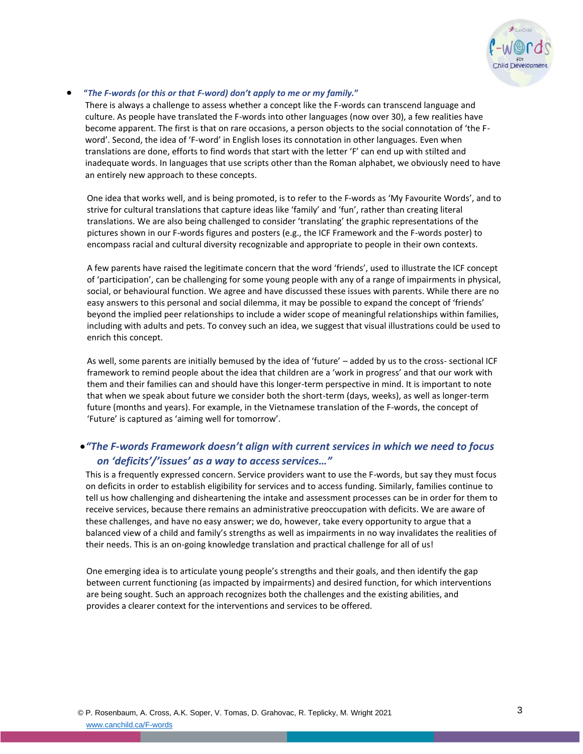

#### • **"***The F-words (or this or that F-word) don't apply to me or my family.***"**

There is always a challenge to assess whether a concept like the F-words can transcend language and culture. As people have translated the F-words into other languages (now over 30), a few realities have become apparent. The first is that on rare occasions, a person objects to the social connotation of 'the Fword'. Second, the idea of 'F-word' in English loses its connotation in other languages. Even when translations are done, efforts to find words that start with the letter 'F' can end up with stilted and inadequate words. In languages that use scripts other than the Roman alphabet, we obviously need to have an entirely new approach to these concepts.

One idea that works well, and is being promoted, is to refer to the F-words as 'My Favourite Words', and to strive for cultural translations that capture ideas like 'family' and 'fun', rather than creating literal translations. We are also being challenged to consider 'translating' the graphic representations of the pictures shown in our F-words figures and posters (e.g., the ICF Framework and the F-words poster) to encompass racial and cultural diversity recognizable and appropriate to people in their own contexts.

A few parents have raised the legitimate concern that the word 'friends', used [to illustrate the ICF](https://canchild.ca/system/tenon/assets/attachments/000/003/189/original/ENGLISH_ICFand_FWords-5Mar2020.pdf) concept of 'participation', can be challenging for some young people with any of a range of impairments in physical, social, or behavioural function. We agree and have discussed these issues with parents. While there are no easy answers to this personal and social dilemma, it may be possible to expand the concept of 'friends' beyond the implied peer relationships to include a wider scope of meaningful relationships within families, including with adults and pets. To convey such an idea, we suggest that visual illustrations could be used to enrich this concept.

As well, some parents are initially bemused by the idea of 'future' – added by us to the cross- sectional ICF framework to remind people about the idea that children are a 'work in progress' and that our work with them and their families can and should have this longer-term perspective in mind. It is important to note that when we speak about future we consider both the short-term (days, weeks), as well as longer-term future (months and years). For example, in the Vietnamese translation of the F-words, the concept of 'Future' is captured as 'aiming well for tomorrow'.

# •*"The F-words Framework doesn't align with current services in which we need to focus on 'deficits'/'issues' as a way to access services..."*

This is a frequently expressed concern. Service providers want to use the F-words, but say they must focus on deficits in order to establish eligibility for services and to access funding. Similarly, families continue to tell us how challenging and disheartening the intake and assessment processes can be in order for them to receive services, because there remains an administrative preoccupation with deficits. We are aware of these challenges, and have no easy answer; we do, however, take every opportunity to argue that a balanced view of a child and family's strengths as well as impairments in no way invalidates the realities of their needs. This is an on-going knowledge translation and practical challenge for all of us!

One emerging idea is to articulate young people's strengths and their goals, and then identify the gap between current functioning (as impacted by impairments) and desired function, for which interventions are being sought. Such an approach recognizes both the challenges and the existing abilities, and provides a clearer context for the interventions and services to be offered.